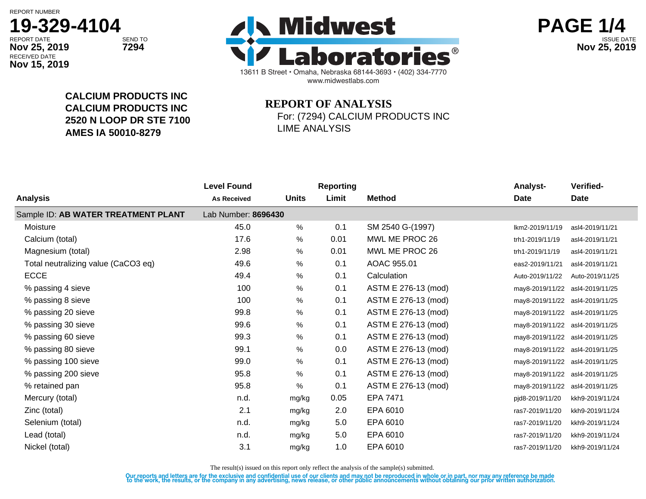RECEIVED DATE

**Nov 15, 2019**



13611 B Street • Omaha, Nebraska 68144-3693 • (402) 334-7770 www.midwestlabs.com REPORT DATE SEND TO SEND TO **interval the contract of the contract of the contract of the contract of the contract of the contract of the contract of the contract of the contract of the contract of the contract of the cont Nov 25, 2019 7294 Nov 25, 2019**



**CALCIUM PRODUCTS INC CALCIUM PRODUCTS INC 2520 N LOOP DR STE 7100 AMES IA 50010-8279**

## **REPORT OF ANALYSIS** For: (7294) CALCIUM PRODUCTS INC LIME ANALYSIS

| Analysis                            | <b>Level Found</b><br><b>As Received</b> | <b>Units</b> | <b>Reporting</b><br>Limit | <b>Method</b>       | <b>Analyst-</b><br><b>Date</b>  | Verified-<br>Date |
|-------------------------------------|------------------------------------------|--------------|---------------------------|---------------------|---------------------------------|-------------------|
| Sample ID: AB WATER TREATMENT PLANT | Lab Number: 8696430                      |              |                           |                     |                                 |                   |
| Moisture                            | 45.0                                     | %            | 0.1                       | SM 2540 G-(1997)    | lkm2-2019/11/19                 | asl4-2019/11/21   |
| Calcium (total)                     | 17.6                                     | $\%$         | 0.01                      | MWL ME PROC 26      | trh1-2019/11/19                 | asl4-2019/11/21   |
| Magnesium (total)                   | 2.98                                     | $\%$         | 0.01                      | MWL ME PROC 26      | trh1-2019/11/19                 | asl4-2019/11/21   |
| Total neutralizing value (CaCO3 eq) | 49.6                                     | %            | 0.1                       | AOAC 955.01         | eas2-2019/11/21                 | asl4-2019/11/21   |
| <b>ECCE</b>                         | 49.4                                     | $\%$         | 0.1                       | Calculation         | Auto-2019/11/22                 | Auto-2019/11/25   |
| % passing 4 sieve                   | 100                                      | $\%$         | 0.1                       | ASTM E 276-13 (mod) | may8-2019/11/22 asl4-2019/11/25 |                   |
| % passing 8 sieve                   | 100                                      | $\%$         | 0.1                       | ASTM E 276-13 (mod) | may8-2019/11/22 asl4-2019/11/25 |                   |
| % passing 20 sieve                  | 99.8                                     | %            | 0.1                       | ASTM E 276-13 (mod) | may8-2019/11/22 asl4-2019/11/25 |                   |
| % passing 30 sieve                  | 99.6                                     | $\%$         | 0.1                       | ASTM E 276-13 (mod) | may8-2019/11/22 asl4-2019/11/25 |                   |
| % passing 60 sieve                  | 99.3                                     | %            | 0.1                       | ASTM E 276-13 (mod) | may8-2019/11/22 asl4-2019/11/25 |                   |
| % passing 80 sieve                  | 99.1                                     | %            | 0.0                       | ASTM E 276-13 (mod) | may8-2019/11/22                 | asl4-2019/11/25   |
| % passing 100 sieve                 | 99.0                                     | $\%$         | 0.1                       | ASTM E 276-13 (mod) | may8-2019/11/22                 | asl4-2019/11/25   |
| % passing 200 sieve                 | 95.8                                     | %            | 0.1                       | ASTM E 276-13 (mod) | may8-2019/11/22                 | asl4-2019/11/25   |
| % retained pan                      | 95.8                                     | $\%$         | 0.1                       | ASTM E 276-13 (mod) | may8-2019/11/22                 | asl4-2019/11/25   |
| Mercury (total)                     | n.d.                                     | mg/kg        | 0.05                      | <b>EPA 7471</b>     | pid8-2019/11/20                 | kkh9-2019/11/24   |
| Zinc (total)                        | 2.1                                      | mg/kg        | 2.0                       | EPA 6010            | ras7-2019/11/20                 | kkh9-2019/11/24   |
| Selenium (total)                    | n.d.                                     | mg/kg        | 5.0                       | EPA 6010            | ras7-2019/11/20                 | kkh9-2019/11/24   |
| Lead (total)                        | n.d.                                     | mg/kg        | 5.0                       | EPA 6010            | ras7-2019/11/20                 | kkh9-2019/11/24   |
| Nickel (total)                      | 3.1                                      | mg/kg        | 1.0                       | EPA 6010            | ras7-2019/11/20                 | kkh9-2019/11/24   |
|                                     |                                          |              |                           |                     |                                 |                   |

The result(s) issued on this report only reflect the analysis of the sample(s) submitted.

Our reports and letters are for the exclusive and confidential use of our clients and may not be reproduced in whole or in part, nor may any reference be made<br>to the work, the results, or the company in any advertising, ne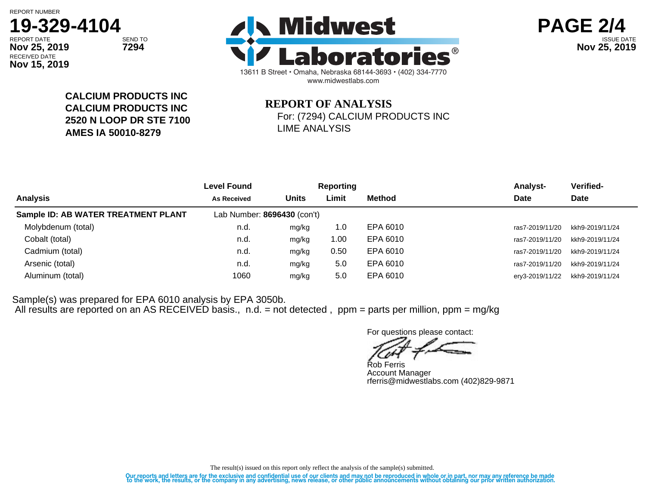# **19-329-4104**

RECEIVED DATE **Nov 15, 2019**





**CALCIUM PRODUCTS INC CALCIUM PRODUCTS INC 2520 N LOOP DR STE 7100 AMES IA 50010-8279**

## **REPORT OF ANALYSIS** For: (7294) CALCIUM PRODUCTS INC LIME ANALYSIS

|                                     | <b>Level Found</b>          | <b>Reporting</b> |       |               | <b>Analyst-</b> | Verified-       |  |
|-------------------------------------|-----------------------------|------------------|-------|---------------|-----------------|-----------------|--|
| <b>Analysis</b>                     | <b>As Received</b>          | <b>Units</b>     | Limit | <b>Method</b> | Date            | Date            |  |
| Sample ID: AB WATER TREATMENT PLANT | Lab Number: 8696430 (con't) |                  |       |               |                 |                 |  |
| Molybdenum (total)                  | n.d.                        | mg/kg            | 1.0   | EPA 6010      | ras7-2019/11/20 | kkh9-2019/11/24 |  |
| Cobalt (total)                      | n.d.                        | mg/kg            | 00. ا | EPA 6010      | ras7-2019/11/20 | kkh9-2019/11/24 |  |
| Cadmium (total)                     | n.d.                        | mg/kg            | 0.50  | EPA 6010      | ras7-2019/11/20 | kkh9-2019/11/24 |  |
| Arsenic (total)                     | n.d.                        | mg/kg            | 5.0   | EPA 6010      | ras7-2019/11/20 | kkh9-2019/11/24 |  |
| Aluminum (total)                    | 1060                        | mg/kg            | 5.0   | EPA 6010      | ery3-2019/11/22 | kkh9-2019/11/24 |  |

Sample(s) was prepared for EPA 6010 analysis by EPA 3050b. All results are reported on an AS RECEIVED basis., n.d. = not detected , ppm = parts per million, ppm = mg/kg

For questions please contact:

Rob Ferris

Account Manager rferris@midwestlabs.com (402)829-9871

The result(s) issued on this report only reflect the analysis of the sample(s) submitted.

Our reports and letters are for the exclusive and confidential use of our clients and may not be reproduced in whole or in part, nor may any reference be made<br>to the work, the results, or the company in any advertising, ne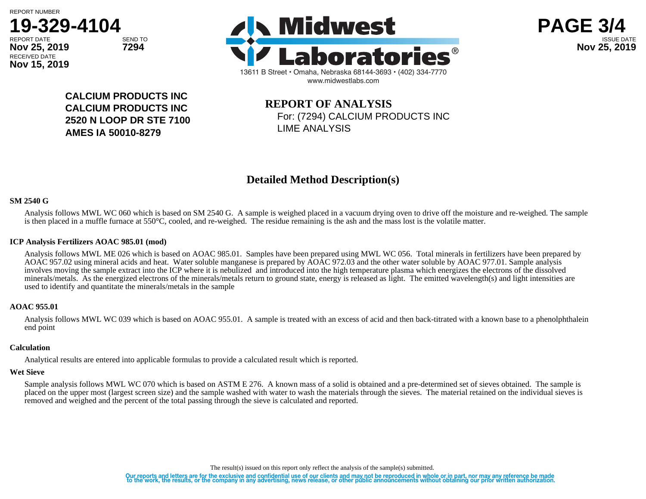**Nov 15, 2019**





**PAGE 3/4**

**CALCIUM PRODUCTS INC CALCIUM PRODUCTS INC 2520 N LOOP DR STE 7100 AMES IA 50010-8279**

## **REPORT OF ANALYSIS** For: (7294) CALCIUM PRODUCTS INC LIME ANALYSIS

## **Detailed Method Description(s)**

#### **SM 2540 G**

Analysis follows MWL WC 060 which is based on SM 2540 G. A sample is weighed placed in a vacuum drying oven to drive off the moisture and re-weighed. The sample is then placed in a muffle furnace at 550°C, cooled, and re-weighed. The residue remaining is the ash and the mass lost is the volatile matter.

#### **ICP Analysis Fertilizers AOAC 985.01 (mod)**

Analysis follows MWL ME 026 which is based on AOAC 985.01. Samples have been prepared using MWL WC 056. Total minerals in fertilizers have been prepared by AOAC 957.02 using mineral acids and heat. Water soluble manganese is prepared by AOAC 972.03 and the other water soluble by AOAC 977.01. Sample analysis involves moving the sample extract into the ICP where it is nebulized and introduced into the high temperature plasma which energizes the electrons of the dissolved minerals/metals. As the energized electrons of the minerals/metals return to ground state, energy is released as light. The emitted wavelength(s) and light intensities are used to identify and quantitate the minerals/metals in the sample

#### **AOAC 955.01**

Analysis follows MWL WC 039 which is based on AOAC 955.01. A sample is treated with an excess of acid and then back-titrated with a known base to a phenolphthalein end point

### **Calculation**

Analytical results are entered into applicable formulas to provide a calculated result which is reported.

#### **Wet Sieve**

Sample analysis follows MWL WC 070 which is based on ASTM E 276. A known mass of a solid is obtained and a pre-determined set of sieves obtained. The sample is placed on the upper most (largest screen size) and the sample washed with water to wash the materials through the sieves. The material retained on the individual sieves is removed and weighed and the percent of the total passing through the sieve is calculated and reported.

The result(s) issued on this report only reflect the analysis of the sample(s) submitted.